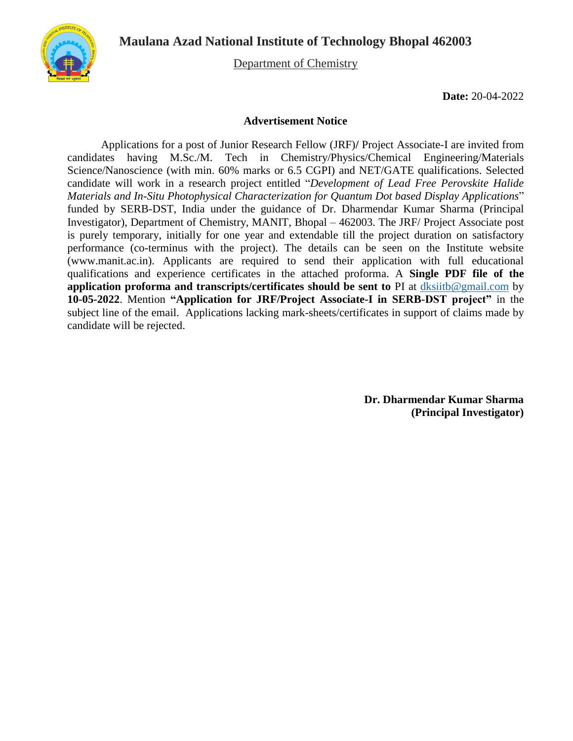

Department of Chemistry

**Date:** 20-04-2022

#### **Advertisement Notice**

Applications for a post of Junior Research Fellow (JRF)**/** Project Associate-I are invited from candidates having M.Sc./M. Tech in Chemistry/Physics/Chemical Engineering/Materials Science/Nanoscience (with min. 60% marks or 6.5 CGPI) and NET/GATE qualifications. Selected candidate will work in a research project entitled "*Development of Lead Free Perovskite Halide Materials and In-Situ Photophysical Characterization for Quantum Dot based Display Applications*" funded by SERB-DST, India under the guidance of Dr. Dharmendar Kumar Sharma (Principal Investigator), Department of Chemistry, MANIT, Bhopal – 462003. The JRF/ Project Associate post is purely temporary, initially for one year and extendable till the project duration on satisfactory performance (co-terminus with the project). The details can be seen on the Institute website (www.manit.ac.in). Applicants are required to send their application with full educational qualifications and experience certificates in the attached proforma. A **Single PDF file of the application proforma and transcripts/certificates should be sent to** PI at [dksiitb@gmail.com](mailto:dksiitb@gmail.com) by **10-05-2022**. Mention **"Application for JRF/Project Associate-I in SERB-DST project"** in the subject line of the email. Applications lacking mark-sheets/certificates in support of claims made by candidate will be rejected.

> **Dr. Dharmendar Kumar Sharma (Principal Investigator)**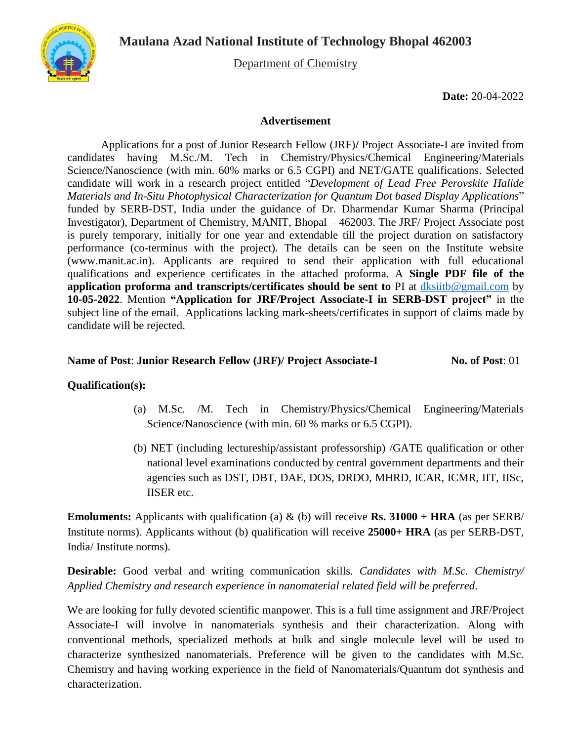

## Department of Chemistry

**Date:** 20-04-2022

### **Advertisement**

Applications for a post of Junior Research Fellow (JRF)**/** Project Associate-I are invited from candidates having M.Sc./M. Tech in Chemistry/Physics/Chemical Engineering/Materials Science/Nanoscience (with min. 60% marks or 6.5 CGPI) and NET/GATE qualifications. Selected candidate will work in a research project entitled "*Development of Lead Free Perovskite Halide Materials and In-Situ Photophysical Characterization for Quantum Dot based Display Applications*" funded by SERB-DST, India under the guidance of Dr. Dharmendar Kumar Sharma (Principal Investigator), Department of Chemistry, MANIT, Bhopal – 462003. The JRF/ Project Associate post is purely temporary, initially for one year and extendable till the project duration on satisfactory performance (co-terminus with the project). The details can be seen on the Institute website (www.manit.ac.in). Applicants are required to send their application with full educational qualifications and experience certificates in the attached proforma. A **Single PDF file of the application proforma and transcripts/certificates should be sent to** PI at [dksiitb@gmail.com](mailto:dksiitb@gmail.com) by **10-05-2022**. Mention **"Application for JRF/Project Associate-I in SERB-DST project"** in the subject line of the email. Applications lacking mark-sheets/certificates in support of claims made by candidate will be rejected.

## **Name of Post: Junior Research Fellow (JRF)/ Project Associate-I No. of Post: 01**

## **Qualification(s):**

- (a) M.Sc. /M. Tech in Chemistry/Physics/Chemical Engineering/Materials Science/Nanoscience (with min. 60 % marks or 6.5 CGPI).
- (b) NET (including lectureship/assistant professorship) /GATE qualification or other national level examinations conducted by central government departments and their agencies such as DST, DBT, DAE, DOS, DRDO, MHRD, ICAR, ICMR, IIT, IISc, IISER etc.

**Emoluments:** Applicants with qualification (a) & (b) will receive **Rs. 31000 + HRA** (as per SERB/ Institute norms). Applicants without (b) qualification will receive **25000+ HRA** (as per SERB-DST, India/ Institute norms).

**Desirable:** Good verbal and writing communication skills. *Candidates with M.Sc. Chemistry/ Applied Chemistry and research experience in nanomaterial related field will be preferred*.

We are looking for fully devoted scientific manpower. This is a full time assignment and JRF/Project Associate-I will involve in nanomaterials synthesis and their characterization. Along with conventional methods, specialized methods at bulk and single molecule level will be used to characterize synthesized nanomaterials. Preference will be given to the candidates with M.Sc. Chemistry and having working experience in the field of Nanomaterials/Quantum dot synthesis and characterization.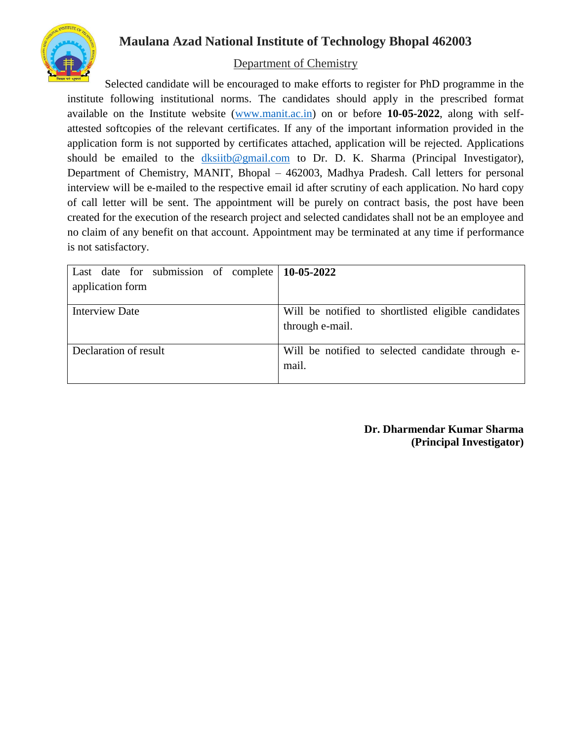

# **Maulana Azad National Institute of Technology Bhopal 462003**

## Department of Chemistry

Selected candidate will be encouraged to make efforts to register for PhD programme in the institute following institutional norms. The candidates should apply in the prescribed format available on the Institute website [\(www.manit.ac.in\)](http://www.manit.ac.in/) on or before **10-05-2022**, along with selfattested softcopies of the relevant certificates. If any of the important information provided in the application form is not supported by certificates attached, application will be rejected. Applications should be emailed to the [dksiitb@gmail.com](mailto:dksiitb@gmail.com) to Dr. D. K. Sharma (Principal Investigator), Department of Chemistry, MANIT, Bhopal – 462003, Madhya Pradesh. Call letters for personal interview will be e-mailed to the respective email id after scrutiny of each application. No hard copy of call letter will be sent. The appointment will be purely on contract basis, the post have been created for the execution of the research project and selected candidates shall not be an employee and no claim of any benefit on that account. Appointment may be terminated at any time if performance is not satisfactory.

| Last date for submission of complete 10-05-2022<br>application form |                                                                        |
|---------------------------------------------------------------------|------------------------------------------------------------------------|
| <b>Interview Date</b>                                               | Will be notified to shortlisted eligible candidates<br>through e-mail. |
| Declaration of result                                               | Will be notified to selected candidate through e-<br>mail.             |

**Dr. Dharmendar Kumar Sharma (Principal Investigator)**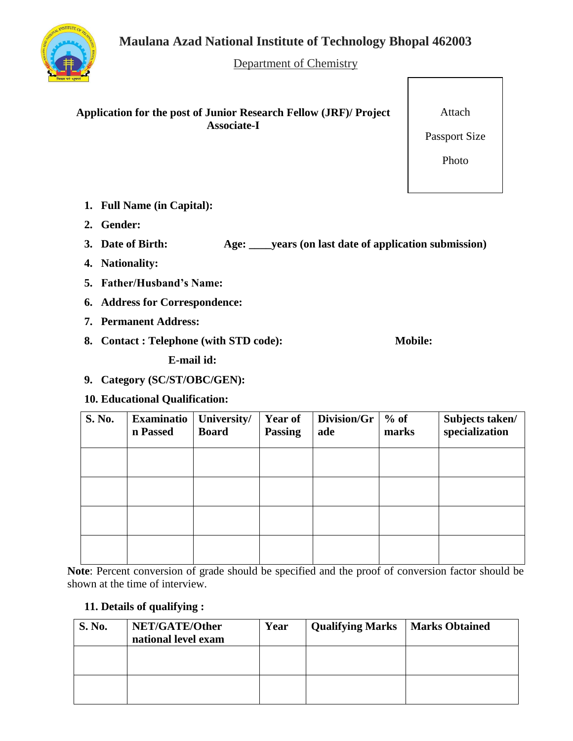**Maulana Azad National Institute of Technology Bhopal 462003**



Department of Chemistry

# **Application for the post of Junior Research Fellow (JRF)/ Project Associate-I**

Attach

Passport Size

Photo

- **1. Full Name (in Capital):**
- **2. Gender:**
- **3. Date of Birth: Age: \_\_\_\_years (on last date of application submission)**
- **4. Nationality:**
- **5. Father/Husband's Name:**
- **6. Address for Correspondence:**
- **7. Permanent Address:**
- **8. Contact : Telephone (with STD code): Mobile:**

**E-mail id:** 

**9. Category (SC/ST/OBC/GEN):**

# **10. Educational Qualification:**

| S. No. | <b>Examinatio</b><br>n Passed | University/<br><b>Board</b> | <b>Year of</b><br><b>Passing</b> | Division/Gr<br>ade | $%$ of<br>marks | Subjects taken/<br>specialization |
|--------|-------------------------------|-----------------------------|----------------------------------|--------------------|-----------------|-----------------------------------|
|        |                               |                             |                                  |                    |                 |                                   |
|        |                               |                             |                                  |                    |                 |                                   |
|        |                               |                             |                                  |                    |                 |                                   |
|        |                               |                             |                                  |                    |                 |                                   |

**Note**: Percent conversion of grade should be specified and the proof of conversion factor should be shown at the time of interview.

## **11. Details of qualifying :**

| <b>S. No.</b> | NET/GATE/Other<br>national level exam | Year | <b>Qualifying Marks</b> | Marks Obtained |
|---------------|---------------------------------------|------|-------------------------|----------------|
|               |                                       |      |                         |                |
|               |                                       |      |                         |                |